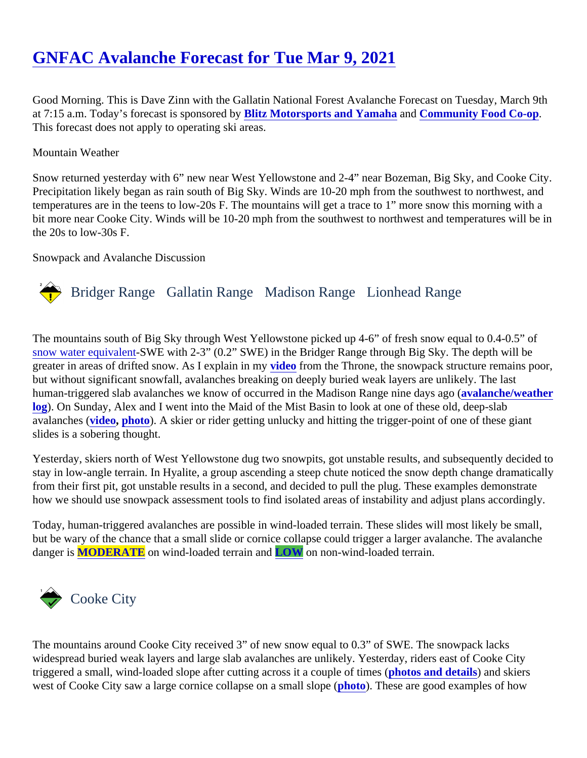# [GNFAC Avalanche Forecast for Tue Mar 9, 202](https://www.mtavalanche.com/forecast/21/03/09)1

Good Morning. This is Dave Zinn with the Gallatin National Forest Avalanche Forecast on Tuesday, March 9t at 7:15 a.m. Today's forecast is sponsore Blity Motorsports and Yamaha and [Community Food Co-op](https://www.bozo.coop/). This forecast does not apply to operating ski areas.

#### Mountain Weather

Snow returned yesterday with 6" new near West Yellowstone and 2-4" near Bozeman, Big Sky, and Cooke C Precipitation likely began as rain south of Big Sky. Winds are 10-20 mph from the southwest to northwest, an temperatures are in the teens to low-20s F. The mountains will get a trace to 1" more snow this morning with bit more near Cooke City. Winds will be 10-20 mph from the southwest to northwest and temperatures will be the 20s to low-30s F.

#### Snowpack and Avalanche Discussion

# Bridger Range Gallatin Range Madison RangeLionhead Range

The mountains south of Big Sky through West Yellowstone picked up 4-6" of fresh snow equal to 0.4-0.5" of [snow water equivale](https://www.nrcs.usda.gov/wps/portal/nrcs/detail/or/snow/?cid=nrcs142p2_046155)r 8WE with 2-3" (0.2" SWE) in the Bridger Range through Big Sky. The depth will be greater in areas of drifted snow. As I explain in *video* from the Throne, the snowpack structure remains poor, but without significant snowfall, avalanches breaking on deeply buried weak layers are unlikely. The last human-triggered slab avalanches we know of occurred in the Madison Range nine dayalagol (e/weather [log](https://www.mtavalanche.com/weather/wx-avalanche-log)). On Sunday, Alex and I went into the Maid of the Mist Basin to look at one of these old, deep-slab avalanches (deo, [photo](https://www.mtavalanche.com/images/21/deep-slab-arden-crown)). A skier or rider getting unlucky and hitting the trigger-point of one of these giant slides is a sobering thought.

Yesterday, skiers north of West Yellowstone dug two snowpits, got unstable results, and subsequently decide stay in low-angle terrain. In Hyalite, a group ascending a steep chute noticed the snow depth change dramati from their first pit, got unstable results in a second, and decided to pull the plug. These examples demonstrate how we should use snowpack assessment tools to find isolated areas of instability and adjust plans according

Today, human-triggered avalanches are possible in wind-loaded terrain. These slides will most likely be small, but be wary of the chance that a small slide or cornice collapse could trigger a larger avalanche. The avalanc danger i[s MODERATE](https://www.mtavalanche.com/images/DangerScale-small.jpg) on wind-loaded terrain ar LOW on non-wind-loaded terrain.

## Cooke City

The mountains around Cooke City received 3" of new snow equal to 0.3" of SWE. The snowpack lacks widespread buried weak layers and large slab avalanches are unlikely. Yesterday, riders east of Cooke City triggered a small, wind-loaded slope after cutting across it a couple of *phretos and details* and skiers west of Cooke City saw a large cornice collapse on a small [slope \(](https://mtavalanche.com/images/21/cornice-drop-west-cooke). These are good examples of how